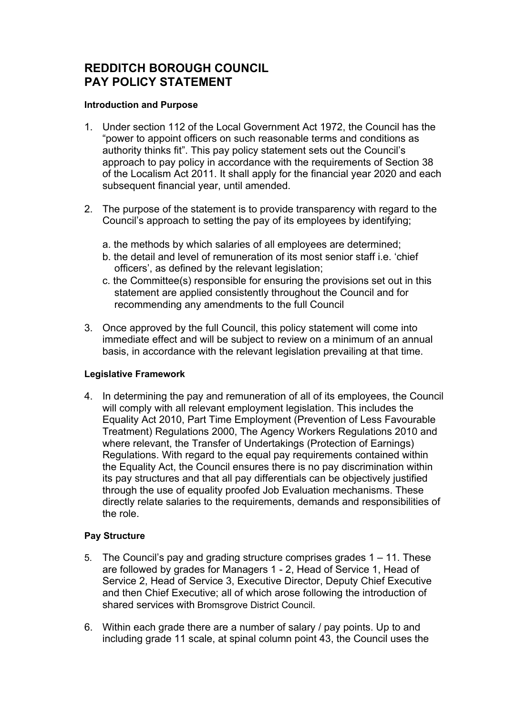# **REDDITCH BOROUGH COUNCIL PAY POLICY STATEMENT**

#### **Introduction and Purpose**

- 1. Under section 112 of the Local Government Act 1972, the Council has the "power to appoint officers on such reasonable terms and conditions as authority thinks fit". This pay policy statement sets out the Council's approach to pay policy in accordance with the requirements of Section 38 of the Localism Act 2011. It shall apply for the financial year 2020 and each subsequent financial year, until amended.
- 2. The purpose of the statement is to provide transparency with regard to the Council's approach to setting the pay of its employees by identifying;
	- a. the methods by which salaries of all employees are determined;
	- b. the detail and level of remuneration of its most senior staff i.e. 'chief officers', as defined by the relevant legislation;
	- c. the Committee(s) responsible for ensuring the provisions set out in this statement are applied consistently throughout the Council and for recommending any amendments to the full Council
- 3. Once approved by the full Council, this policy statement will come into immediate effect and will be subject to review on a minimum of an annual basis, in accordance with the relevant legislation prevailing at that time.

### **Legislative Framework**

4. In determining the pay and remuneration of all of its employees, the Council will comply with all relevant employment legislation. This includes the Equality Act 2010, Part Time Employment (Prevention of Less Favourable Treatment) Regulations 2000, The Agency Workers Regulations 2010 and where relevant, the Transfer of Undertakings (Protection of Earnings) Regulations. With regard to the equal pay requirements contained within the Equality Act, the Council ensures there is no pay discrimination within its pay structures and that all pay differentials can be objectively justified through the use of equality proofed Job Evaluation mechanisms. These directly relate salaries to the requirements, demands and responsibilities of the role.

### **Pay Structure**

- 5. The Council's pay and grading structure comprises grades 1 11. These are followed by grades for Managers 1 - 2, Head of Service 1, Head of Service 2, Head of Service 3, Executive Director, Deputy Chief Executive and then Chief Executive; all of which arose following the introduction of shared services with Bromsgrove District Council.
- 6. Within each grade there are a number of salary / pay points. Up to and including grade 11 scale, at spinal column point 43, the Council uses the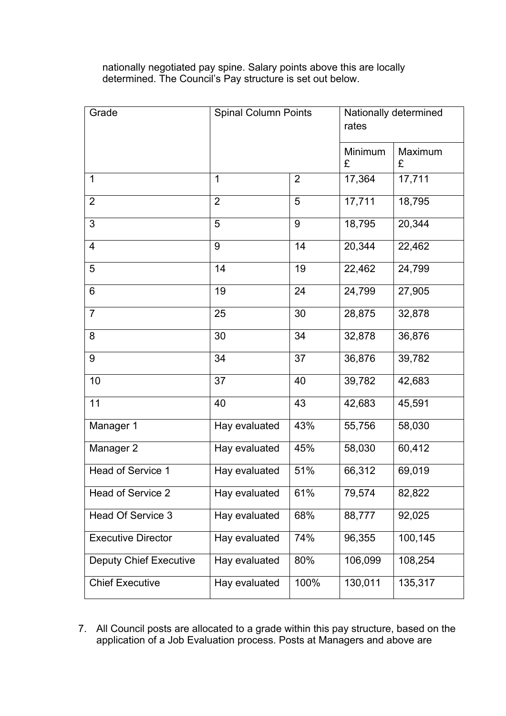nationally negotiated pay spine. Salary points above this are locally determined. The Council's Pay structure is set out below.

| Grade                         | <b>Spinal Column Points</b> |                | Nationally determined<br>rates |              |  |
|-------------------------------|-----------------------------|----------------|--------------------------------|--------------|--|
|                               |                             |                | Minimum<br>£                   | Maximum<br>£ |  |
| $\mathbf{1}$                  | 1                           | $\overline{2}$ | 17,364                         | 17,711       |  |
| $\overline{2}$                | $\overline{2}$              | 5              | 17,711                         | 18,795       |  |
| 3                             | 5                           | 9              | 18,795                         | 20,344       |  |
| $\overline{4}$                | 9                           | 14             | 20,344                         | 22,462       |  |
| 5                             | 14                          | 19             | 22,462                         | 24,799       |  |
| 6                             | 19                          | 24             | 24,799                         | 27,905       |  |
| $\overline{7}$                | 25                          | 30             | 28,875                         | 32,878       |  |
| 8                             | 30                          | 34             | 32,878                         | 36,876       |  |
| 9                             | 34                          | 37             | 36,876                         | 39,782       |  |
| 10                            | 37                          | 40             | 39,782                         | 42,683       |  |
| 11                            | 40                          | 43             | 42,683                         | 45,591       |  |
| Manager 1                     | Hay evaluated               | 43%            | 55,756                         | 58,030       |  |
| Manager 2                     | Hay evaluated               | 45%            | 58,030                         | 60,412       |  |
| <b>Head of Service 1</b>      | Hay evaluated               | 51%            | 66,312                         | 69,019       |  |
| Head of Service 2             | Hay evaluated               | 61%            | 79,574                         | 82,822       |  |
| Head Of Service 3             | Hay evaluated               | 68%            | 88,777                         | 92,025       |  |
| <b>Executive Director</b>     | Hay evaluated               | 74%            | 96,355                         | 100,145      |  |
| <b>Deputy Chief Executive</b> | Hay evaluated               | 80%            | 106,099                        | 108,254      |  |
| <b>Chief Executive</b>        | Hay evaluated               | 100%           | 130,011                        | 135,317      |  |

7. All Council posts are allocated to a grade within this pay structure, based on the application of a Job Evaluation process. Posts at Managers and above are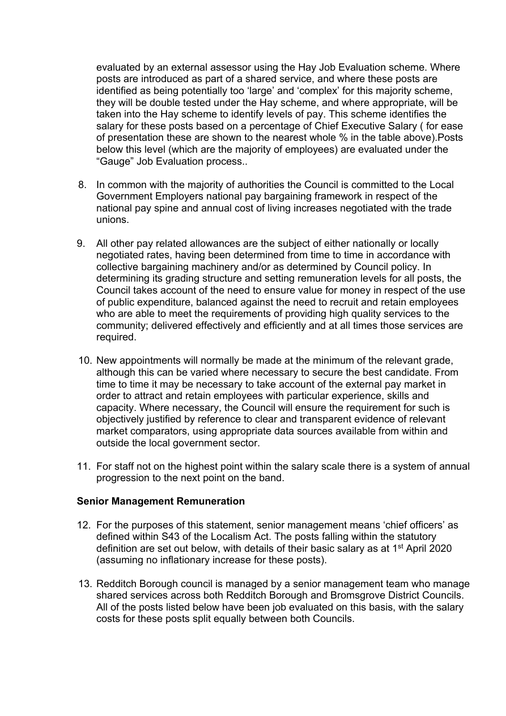evaluated by an external assessor using the Hay Job Evaluation scheme. Where posts are introduced as part of a shared service, and where these posts are identified as being potentially too 'large' and 'complex' for this majority scheme, they will be double tested under the Hay scheme, and where appropriate, will be taken into the Hay scheme to identify levels of pay. This scheme identifies the salary for these posts based on a percentage of Chief Executive Salary ( for ease of presentation these are shown to the nearest whole % in the table above).Posts below this level (which are the majority of employees) are evaluated under the "Gauge" Job Evaluation process..

- 8. In common with the majority of authorities the Council is committed to the Local Government Employers national pay bargaining framework in respect of the national pay spine and annual cost of living increases negotiated with the trade unions.
- 9. All other pay related allowances are the subject of either nationally or locally negotiated rates, having been determined from time to time in accordance with collective bargaining machinery and/or as determined by Council policy. In determining its grading structure and setting remuneration levels for all posts, the Council takes account of the need to ensure value for money in respect of the use of public expenditure, balanced against the need to recruit and retain employees who are able to meet the requirements of providing high quality services to the community; delivered effectively and efficiently and at all times those services are required.
- 10. New appointments will normally be made at the minimum of the relevant grade, although this can be varied where necessary to secure the best candidate. From time to time it may be necessary to take account of the external pay market in order to attract and retain employees with particular experience, skills and capacity. Where necessary, the Council will ensure the requirement for such is objectively justified by reference to clear and transparent evidence of relevant market comparators, using appropriate data sources available from within and outside the local government sector.
- 11. For staff not on the highest point within the salary scale there is a system of annual progression to the next point on the band.

### **Senior Management Remuneration**

- 12. For the purposes of this statement, senior management means 'chief officers' as defined within S43 of the Localism Act. The posts falling within the statutory definition are set out below, with details of their basic salary as at 1<sup>st</sup> April 2020 (assuming no inflationary increase for these posts).
- 13. Redditch Borough council is managed by a senior management team who manage shared services across both Redditch Borough and Bromsgrove District Councils. All of the posts listed below have been job evaluated on this basis, with the salary costs for these posts split equally between both Councils.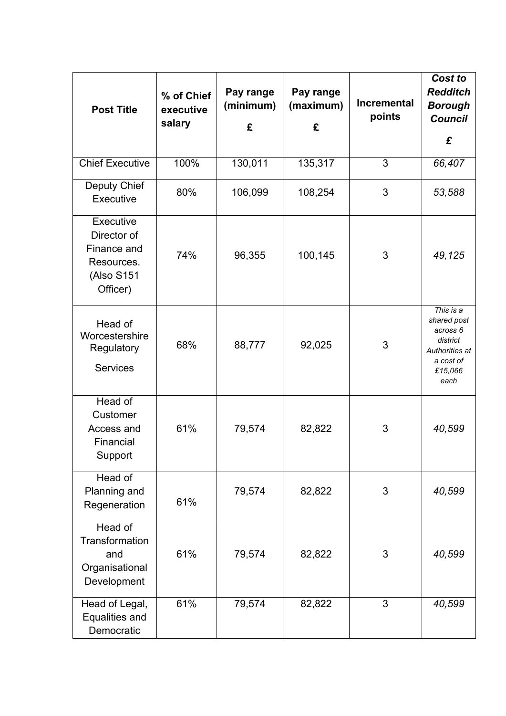| <b>Post Title</b>                                                               | % of Chief<br>executive<br>salary | Pay range<br>(minimum)<br>£ | Pay range<br>(maximum)<br>£ | <b>Incremental</b><br>points | Cost to<br><b>Redditch</b><br><b>Borough</b><br><b>Council</b><br>£                                |
|---------------------------------------------------------------------------------|-----------------------------------|-----------------------------|-----------------------------|------------------------------|----------------------------------------------------------------------------------------------------|
|                                                                                 |                                   |                             |                             |                              |                                                                                                    |
| <b>Chief Executive</b>                                                          | 100%                              | 130,011                     | 135,317                     | 3                            | 66,407                                                                                             |
| Deputy Chief<br>Executive                                                       | 80%                               | 106,099                     | 108,254                     | 3                            | 53,588                                                                                             |
| Executive<br>Director of<br>Finance and<br>Resources.<br>(Also S151<br>Officer) | 74%                               | 96,355                      | 100,145                     | 3                            | 49,125                                                                                             |
| Head of<br>Worcestershire<br>Regulatory<br><b>Services</b>                      | 68%                               | 88,777                      | 92,025                      | 3                            | This is a<br>shared post<br>across 6<br>district<br>Authorities at<br>a cost of<br>£15,066<br>each |
| Head of<br>Customer<br>Access and<br>Financial<br>Support                       | 61%                               | 79,574                      | 82,822                      | 3                            | 40,599                                                                                             |
| Head of<br>Planning and<br>Regeneration                                         | 61%                               | 79,574                      | 82,822                      | 3                            | 40,599                                                                                             |
| Head of<br><b>Transformation</b><br>and<br>Organisational<br>Development        | 61%                               | 79,574                      | 82,822                      | 3                            | 40,599                                                                                             |
| Head of Legal,<br>Equalities and<br>Democratic                                  | 61%                               | 79,574                      | 82,822                      | 3                            | 40,599                                                                                             |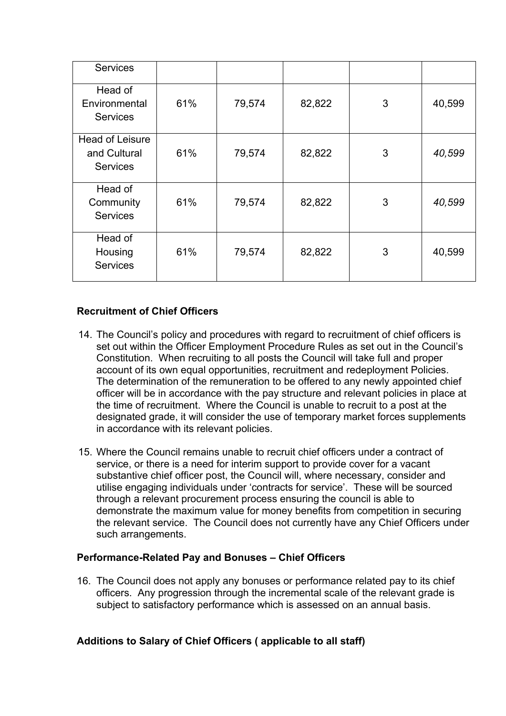| <b>Services</b>                                           |     |        |        |   |        |
|-----------------------------------------------------------|-----|--------|--------|---|--------|
| Head of<br>Environmental<br><b>Services</b>               | 61% | 79,574 | 82,822 | 3 | 40,599 |
| <b>Head of Leisure</b><br>and Cultural<br><b>Services</b> | 61% | 79,574 | 82,822 | 3 | 40,599 |
| Head of<br>Community<br><b>Services</b>                   | 61% | 79,574 | 82,822 | 3 | 40,599 |
| Head of<br>Housing<br><b>Services</b>                     | 61% | 79,574 | 82,822 | 3 | 40,599 |

## **Recruitment of Chief Officers**

- 14. The Council's policy and procedures with regard to recruitment of chief officers is set out within the Officer Employment Procedure Rules as set out in the Council's Constitution. When recruiting to all posts the Council will take full and proper account of its own equal opportunities, recruitment and redeployment Policies. The determination of the remuneration to be offered to any newly appointed chief officer will be in accordance with the pay structure and relevant policies in place at the time of recruitment. Where the Council is unable to recruit to a post at the designated grade, it will consider the use of temporary market forces supplements in accordance with its relevant policies.
- 15. Where the Council remains unable to recruit chief officers under a contract of service, or there is a need for interim support to provide cover for a vacant substantive chief officer post, the Council will, where necessary, consider and utilise engaging individuals under 'contracts for service'. These will be sourced through a relevant procurement process ensuring the council is able to demonstrate the maximum value for money benefits from competition in securing the relevant service. The Council does not currently have any Chief Officers under such arrangements.

## **Performance-Related Pay and Bonuses – Chief Officers**

16. The Council does not apply any bonuses or performance related pay to its chief officers. Any progression through the incremental scale of the relevant grade is subject to satisfactory performance which is assessed on an annual basis.

## **Additions to Salary of Chief Officers ( applicable to all staff)**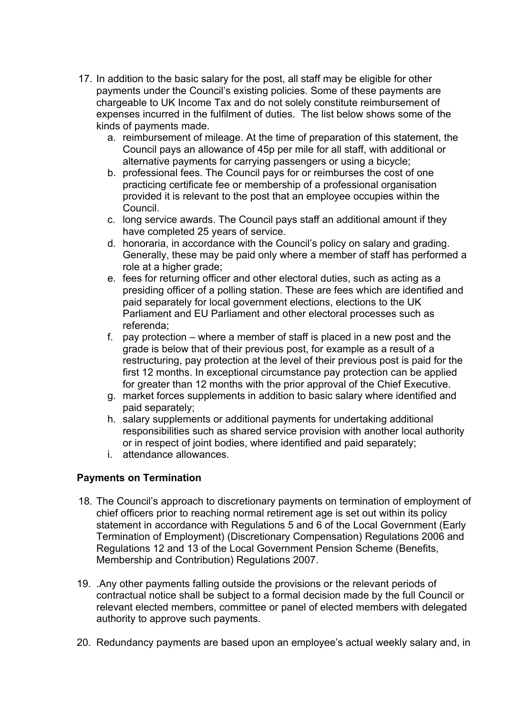- 17. In addition to the basic salary for the post, all staff may be eligible for other payments under the Council's existing policies. Some of these payments are chargeable to UK Income Tax and do not solely constitute reimbursement of expenses incurred in the fulfilment of duties. The list below shows some of the kinds of payments made.
	- a. reimbursement of mileage. At the time of preparation of this statement, the Council pays an allowance of 45p per mile for all staff, with additional or alternative payments for carrying passengers or using a bicycle;
	- b. professional fees. The Council pays for or reimburses the cost of one practicing certificate fee or membership of a professional organisation provided it is relevant to the post that an employee occupies within the Council.
	- c. long service awards. The Council pays staff an additional amount if they have completed 25 years of service.
	- d. honoraria, in accordance with the Council's policy on salary and grading. Generally, these may be paid only where a member of staff has performed a role at a higher grade:
	- e. fees for returning officer and other electoral duties, such as acting as a presiding officer of a polling station. These are fees which are identified and paid separately for local government elections, elections to the UK Parliament and EU Parliament and other electoral processes such as referenda;
	- f. pay protection where a member of staff is placed in a new post and the grade is below that of their previous post, for example as a result of a restructuring, pay protection at the level of their previous post is paid for the first 12 months. In exceptional circumstance pay protection can be applied for greater than 12 months with the prior approval of the Chief Executive.
	- g. market forces supplements in addition to basic salary where identified and paid separately;
	- h. salary supplements or additional payments for undertaking additional responsibilities such as shared service provision with another local authority or in respect of joint bodies, where identified and paid separately;
	- i. attendance allowances.

## **Payments on Termination**

- 18. The Council's approach to discretionary payments on termination of employment of chief officers prior to reaching normal retirement age is set out within its policy statement in accordance with Regulations 5 and 6 of the Local Government (Early Termination of Employment) (Discretionary Compensation) Regulations 2006 and Regulations 12 and 13 of the Local Government Pension Scheme (Benefits, Membership and Contribution) Regulations 2007.
- 19. .Any other payments falling outside the provisions or the relevant periods of contractual notice shall be subject to a formal decision made by the full Council or relevant elected members, committee or panel of elected members with delegated authority to approve such payments.
- 20. Redundancy payments are based upon an employee's actual weekly salary and, in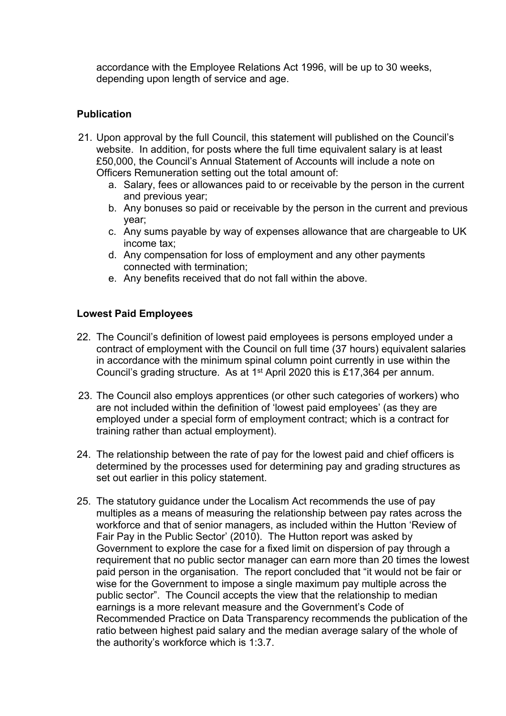accordance with the Employee Relations Act 1996, will be up to 30 weeks, depending upon length of service and age.

### **Publication**

- 21. Upon approval by the full Council, this statement will published on the Council's website. In addition, for posts where the full time equivalent salary is at least £50,000, the Council's Annual Statement of Accounts will include a note on Officers Remuneration setting out the total amount of:
	- a. Salary, fees or allowances paid to or receivable by the person in the current and previous year;
	- b. Any bonuses so paid or receivable by the person in the current and previous year;
	- c. Any sums payable by way of expenses allowance that are chargeable to UK income tax;
	- d. Any compensation for loss of employment and any other payments connected with termination;
	- e. Any benefits received that do not fall within the above.

### **Lowest Paid Employees**

- 22. The Council's definition of lowest paid employees is persons employed under a contract of employment with the Council on full time (37 hours) equivalent salaries in accordance with the minimum spinal column point currently in use within the Council's grading structure. As at 1<sup>st</sup> April 2020 this is £17,364 per annum.
- 23. The Council also employs apprentices (or other such categories of workers) who are not included within the definition of 'lowest paid employees' (as they are employed under a special form of employment contract; which is a contract for training rather than actual employment).
- 24. The relationship between the rate of pay for the lowest paid and chief officers is determined by the processes used for determining pay and grading structures as set out earlier in this policy statement.
- 25. The statutory guidance under the Localism Act recommends the use of pay multiples as a means of measuring the relationship between pay rates across the workforce and that of senior managers, as included within the Hutton 'Review of Fair Pay in the Public Sector' (2010). The Hutton report was asked by Government to explore the case for a fixed limit on dispersion of pay through a requirement that no public sector manager can earn more than 20 times the lowest paid person in the organisation. The report concluded that "it would not be fair or wise for the Government to impose a single maximum pay multiple across the public sector". The Council accepts the view that the relationship to median earnings is a more relevant measure and the Government's Code of Recommended Practice on Data Transparency recommends the publication of the ratio between highest paid salary and the median average salary of the whole of the authority's workforce which is 1:3.7.